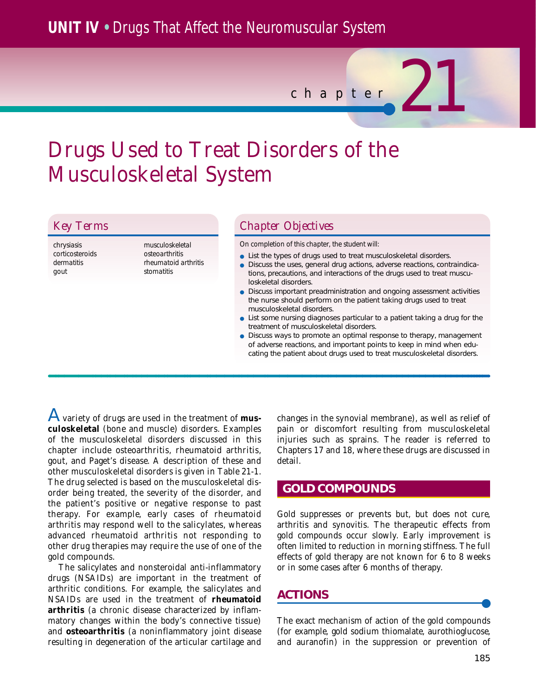# **UNIT IV •** Drugs That Affect the Neuromuscular System

*chapter* 21

# Drugs Used to Treat Disorders of the Musculoskeletal System

*chrysiasis corticosteroids dermatitis gout*

*musculoskeletal osteoarthritis rheumatoid arthritis stomatitis*

# *Key Terms Chapter Objectives*

*On completion of this chapter, the student will:*

- List the types of drugs used to treat musculoskeletal disorders.
- Discuss the uses, general drug actions, adverse reactions, contraindications, precautions, and interactions of the drugs used to treat musculoskeletal disorders.
- Discuss important preadministration and ongoing assessment activities the nurse should perform on the patient taking drugs used to treat musculoskeletal disorders.
- List some nursing diagnoses particular to a patient taking a drug for the treatment of musculoskeletal disorders.
- Discuss ways to promote an optimal response to therapy, management of adverse reactions, and important points to keep in mind when educating the patient about drugs used to treat musculoskeletal disorders.

A variety of drugs are used in the treatment of **musculoskeletal** (bone and muscle) disorders. Examples of the musculoskeletal disorders discussed in this chapter include osteoarthritis, rheumatoid arthritis, gout, and Paget's disease. A description of these and other musculoskeletal disorders is given in Table 21-1. The drug selected is based on the musculoskeletal disorder being treated, the severity of the disorder, and the patient's positive or negative response to past therapy. For example, early cases of rheumatoid arthritis may respond well to the salicylates, whereas advanced rheumatoid arthritis not responding to other drug therapies may require the use of one of the gold compounds.

The salicylates and nonsteroidal anti-inflammatory drugs (NSAIDs) are important in the treatment of arthritic conditions. For example, the salicylates and NSAIDs are used in the treatment of **rheumatoid arthritis** (a chronic disease characterized by inflammatory changes within the body's connective tissue) and **osteoarthritis** (a noninflammatory joint disease resulting in degeneration of the articular cartilage and changes in the synovial membrane), as well as relief of pain or discomfort resulting from musculoskeletal injuries such as sprains. The reader is referred to Chapters 17 and 18, where these drugs are discussed in detail.

# **GOLD COMPOUNDS**

Gold suppresses or prevents but, but does not cure, arthritis and synovitis. The therapeutic effects from gold compounds occur slowly. Early improvement is often limited to reduction in morning stiffness. The full effects of gold therapy are not known for 6 to 8 weeks or in some cases after 6 months of therapy.

# **ACTIONS** ●

The exact mechanism of action of the gold compounds (for example, gold sodium thiomalate, aurothioglucose, and auranofin) in the suppression or prevention of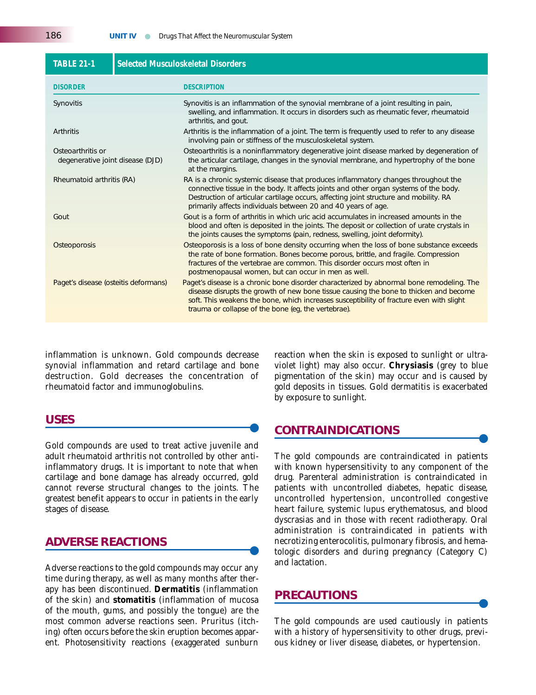| <b>TABLE 21-1</b>                                     | <b>Selected Musculoskeletal Disorders</b> |                                                                                                                                                                                                                                                                                                                                       |  |
|-------------------------------------------------------|-------------------------------------------|---------------------------------------------------------------------------------------------------------------------------------------------------------------------------------------------------------------------------------------------------------------------------------------------------------------------------------------|--|
| <b>DISORDER</b>                                       |                                           | <b>DESCRIPTION</b>                                                                                                                                                                                                                                                                                                                    |  |
| Synovitis                                             |                                           | Synovitis is an inflammation of the synovial membrane of a joint resulting in pain,<br>swelling, and inflammation. It occurs in disorders such as rheumatic fever, rheumatoid<br>arthritis, and gout.                                                                                                                                 |  |
| <b>Arthritis</b>                                      |                                           | Arthritis is the inflammation of a joint. The term is frequently used to refer to any disease<br>involving pain or stiffness of the musculoskeletal system.                                                                                                                                                                           |  |
| Osteoarthritis or<br>degenerative joint disease (DJD) |                                           | Osteoarthritis is a noninflammatory degenerative joint disease marked by degeneration of<br>the articular cartilage, changes in the synovial membrane, and hypertrophy of the bone<br>at the margins.                                                                                                                                 |  |
| Rheumatoid arthritis (RA)                             |                                           | RA is a chronic systemic disease that produces inflammatory changes throughout the<br>connective tissue in the body. It affects joints and other organ systems of the body.<br>Destruction of articular cartilage occurs, affecting joint structure and mobility. RA<br>primarily affects individuals between 20 and 40 years of age. |  |
| Gout                                                  |                                           | Gout is a form of arthritis in which uric acid accumulates in increased amounts in the<br>blood and often is deposited in the joints. The deposit or collection of urate crystals in<br>the joints causes the symptoms (pain, redness, swelling, joint deformity).                                                                    |  |
| Osteoporosis                                          |                                           | Osteoporosis is a loss of bone density occurring when the loss of bone substance exceeds<br>the rate of bone formation. Bones become porous, brittle, and fragile. Compression<br>fractures of the vertebrae are common. This disorder occurs most often in<br>postmenopausal women, but can occur in men as well.                    |  |
| Paget's disease (osteitis deformans)                  |                                           | Paget's disease is a chronic bone disorder characterized by abnormal bone remodeling. The<br>disease disrupts the growth of new bone tissue causing the bone to thicken and become<br>soft. This weakens the bone, which increases susceptibility of fracture even with slight                                                        |  |
|                                                       |                                           | trauma or collapse of the bone (eg, the vertebrae).                                                                                                                                                                                                                                                                                   |  |

inflammation is unknown. Gold compounds decrease synovial inflammation and retard cartilage and bone destruction. Gold decreases the concentration of rheumatoid factor and immunoglobulins.

# **USES** ●

Gold compounds are used to treat active juvenile and adult rheumatoid arthritis not controlled by other antiinflammatory drugs. It is important to note that when cartilage and bone damage has already occurred, gold cannot reverse structural changes to the joints. The greatest benefit appears to occur in patients in the early stages of disease.

# **ADVERSE REACTIONS** ●

Adverse reactions to the gold compounds may occur any time during therapy, as well as many months after therapy has been discontinued. **Dermatitis** (inflammation of the skin) and **stomatitis** (inflammation of mucosa of the mouth, gums, and possibly the tongue) are the most common adverse reactions seen. Pruritus (itching) often occurs before the skin eruption becomes apparent. Photosensitivity reactions (exaggerated sunburn reaction when the skin is exposed to sunlight or ultraviolet light) may also occur. **Chrysiasis** (grey to blue pigmentation of the skin) may occur and is caused by gold deposits in tissues. Gold dermatitis is exacerbated by exposure to sunlight.

### **CONTRAINDICATIONS** ●

The gold compounds are contraindicated in patients with known hypersensitivity to any component of the drug. Parenteral administration is contraindicated in patients with uncontrolled diabetes, hepatic disease, uncontrolled hypertension, uncontrolled congestive heart failure, systemic lupus erythematosus, and blood dyscrasias and in those with recent radiotherapy. Oral administration is contraindicated in patients with necrotizing enterocolitis, pulmonary fibrosis, and hematologic disorders and during pregnancy (Category C) and lactation.

### **PRECAUTIONS**

The gold compounds are used cautiously in patients with a history of hypersensitivity to other drugs, previous kidney or liver disease, diabetes, or hypertension.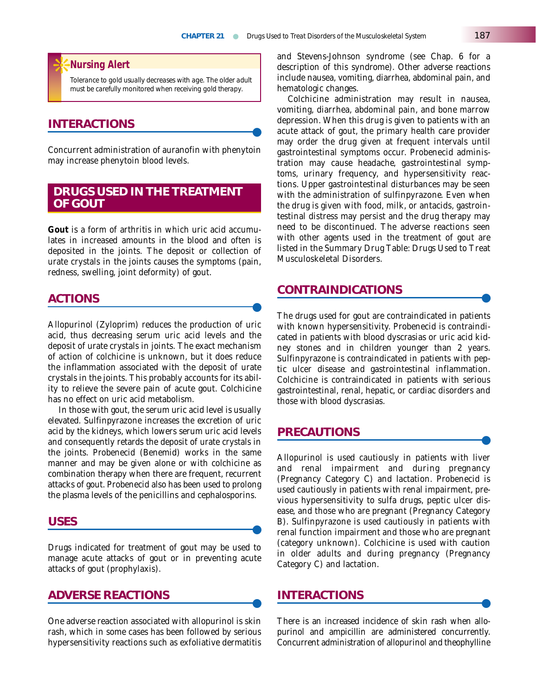#### ❊**Nursing Alert**

*Tolerance to gold usually decreases with age. The older adult must be carefully monitored when receiving gold therapy.*

### **INTERACTIONS**

Concurrent administration of auranofin with phenytoin may increase phenytoin blood levels.

# **DRUGS USED IN THE TREATMENT OF GOUT**

**Gout** is a form of arthritis in which uric acid accumulates in increased amounts in the blood and often is deposited in the joints. The deposit or collection of urate crystals in the joints causes the symptoms (pain, redness, swelling, joint deformity) of gout.

# **ACTIONS** ●

Allopurinol (Zyloprim) reduces the production of uric acid, thus decreasing serum uric acid levels and the deposit of urate crystals in joints. The exact mechanism of action of colchicine is unknown, but it does reduce the inflammation associated with the deposit of urate crystals in the joints. This probably accounts for its ability to relieve the severe pain of acute gout. Colchicine has no effect on uric acid metabolism.

In those with gout, the serum uric acid level is usually elevated. Sulfinpyrazone increases the excretion of uric acid by the kidneys, which lowers serum uric acid levels and consequently retards the deposit of urate crystals in the joints. Probenecid (Benemid) works in the same manner and may be given alone or with colchicine as combination therapy when there are frequent, recurrent attacks of gout. Probenecid also has been used to prolong the plasma levels of the penicillins and cephalosporins.

# —————————————<del>————</del>

Drugs indicated for treatment of gout may be used to manage acute attacks of gout or in preventing acute attacks of gout (prophylaxis).

### **ADVERSE REACTIONS** ●

One adverse reaction associated with allopurinol is skin rash, which in some cases has been followed by serious hypersensitivity reactions such as exfoliative dermatitis and Stevens-Johnson syndrome (see Chap. 6 for a description of this syndrome). Other adverse reactions include nausea, vomiting, diarrhea, abdominal pain, and hematologic changes.

Colchicine administration may result in nausea, vomiting, diarrhea, abdominal pain, and bone marrow depression. When this drug is given to patients with an acute attack of gout, the primary health care provider may order the drug given at frequent intervals until gastrointestinal symptoms occur. Probenecid administration may cause headache, gastrointestinal symptoms, urinary frequency, and hypersensitivity reactions. Upper gastrointestinal disturbances may be seen with the administration of sulfinpyrazone. Even when the drug is given with food, milk, or antacids, gastrointestinal distress may persist and the drug therapy may need to be discontinued. The adverse reactions seen with other agents used in the treatment of gout are listed in the Summary Drug Table: Drugs Used to Treat Musculoskeletal Disorders.

### **CONTRAINDICATIONS** ●

The drugs used for gout are contraindicated in patients with known hypersensitivity. Probenecid is contraindicated in patients with blood dyscrasias or uric acid kidney stones and in children younger than 2 years. Sulfinpyrazone is contraindicated in patients with peptic ulcer disease and gastrointestinal inflammation. Colchicine is contraindicated in patients with serious gastrointestinal, renal, hepatic, or cardiac disorders and those with blood dyscrasias.

# **PRECAUTIONS**

Allopurinol is used cautiously in patients with liver and renal impairment and during pregnancy (Pregnancy Category C) and lactation. Probenecid is used cautiously in patients with renal impairment, previous hypersensitivity to sulfa drugs, peptic ulcer disease, and those who are pregnant (Pregnancy Category B). Sulfinpyrazone is used cautiously in patients with renal function impairment and those who are pregnant (category unknown). Colchicine is used with caution in older adults and during pregnancy (Pregnancy Category C) and lactation.

#### **INTERACTIONS**

There is an increased incidence of skin rash when allopurinol and ampicillin are administered concurrently. Concurrent administration of allopurinol and theophylline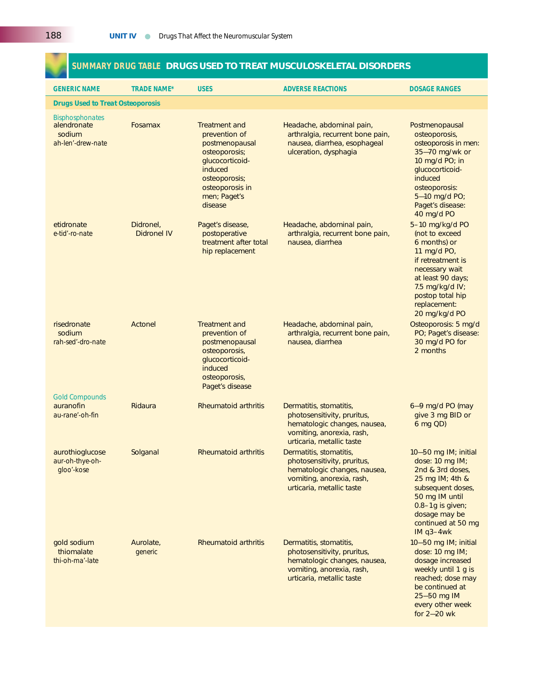|                                                                      |                                 |                                                                                                                                                                       | SUMMARY DRUG TABLE DRUGS USED TO TREAT MUSCULOSKELETAL DISORDERS                                                                                 |                                                                                                                                                                                                      |
|----------------------------------------------------------------------|---------------------------------|-----------------------------------------------------------------------------------------------------------------------------------------------------------------------|--------------------------------------------------------------------------------------------------------------------------------------------------|------------------------------------------------------------------------------------------------------------------------------------------------------------------------------------------------------|
| <b>GENERIC NAME</b>                                                  | <b>TRADE NAME*</b>              | <b>USES</b>                                                                                                                                                           | <b>ADVERSE REACTIONS</b>                                                                                                                         | <b>DOSAGE RANGES</b>                                                                                                                                                                                 |
| <b>Drugs Used to Treat Osteoporosis</b>                              |                                 |                                                                                                                                                                       |                                                                                                                                                  |                                                                                                                                                                                                      |
| <b>Bisphosphonates</b><br>alendronate<br>sodium<br>ah-len'-drew-nate | Fosamax                         | <b>Treatment and</b><br>prevention of<br>postmenopausal<br>osteoporosis;<br>qlucocorticoid-<br>induced<br>osteoporosis;<br>osteoporosis in<br>men; Paget's<br>disease | Headache, abdominal pain,<br>arthralgia, recurrent bone pain,<br>nausea, diarrhea, esophageal<br>ulceration, dysphagia                           | Postmenopausal<br>osteoporosis,<br>osteoporosis in men:<br>35-70 mg/wk or<br>10 mg/d PO; in<br>qlucocorticoid-<br>induced<br>osteoporosis:<br>5-10 mg/d PO;<br>Paget's disease:<br>40 mg/d PO        |
| etidronate<br>e-tid'-ro-nate                                         | Didronel,<br><b>Didronel IV</b> | Paget's disease,<br>postoperative<br>treatment after total<br>hip replacement                                                                                         | Headache, abdominal pain,<br>arthralgia, recurrent bone pain,<br>nausea, diarrhea                                                                | 5-10 mg/kg/d PO<br>(not to exceed<br>6 months) or<br>11 mg/d PO,<br>if retreatment is<br>necessary wait<br>at least 90 days;<br>7.5 mg/kg/d IV;<br>postop total hip<br>replacement:<br>20 mg/kg/d PO |
| risedronate<br>sodium<br>rah-sed'-dro-nate                           | Actonel                         | <b>Treatment and</b><br>prevention of<br>postmenopausal<br>osteoporosis,<br>glucocorticoid-<br>induced<br>osteoporosis,<br>Paget's disease                            | Headache, abdominal pain,<br>arthralgia, recurrent bone pain,<br>nausea, diarrhea                                                                | Osteoporosis: 5 mg/d<br>PO; Paget's disease:<br>30 mg/d PO for<br>2 months                                                                                                                           |
| <b>Gold Compounds</b><br>auranofin<br>au-rane'-oh-fin                | Ridaura                         | <b>Rheumatoid arthritis</b>                                                                                                                                           | Dermatitis, stomatitis,<br>photosensitivity, pruritus,<br>hematologic changes, nausea,<br>vomiting, anorexia, rash,<br>urticaria, metallic taste | 6-9 mg/d PO (may<br>give 3 mg BID or<br>$6$ mg $QD$ )                                                                                                                                                |
| aurothioglucose<br>aur-oh-thye-oh-<br>gloo'-kose                     | Solganal                        | Rheumatoid arthritis                                                                                                                                                  | Dermatitis, stomatitis,<br>photosensitivity, pruritus,<br>hematologic changes, nausea,<br>vomiting, anorexia, rash,<br>urticaria, metallic taste | 10-50 mg IM; initial<br>dose: 10 mg IM;<br>2nd & 3rd doses,<br>25 mg IM; 4th &<br>subsequent doses,<br>50 mg IM until<br>$0.8 - 1g$ is given;<br>dosage may be<br>continued at 50 mg<br>IM $q3-4wk$  |
| gold sodium<br>thiomalate<br>thi-oh-ma'-late                         | Aurolate,<br>generic            | <b>Rheumatoid arthritis</b>                                                                                                                                           | Dermatitis, stomatitis,<br>photosensitivity, pruritus,<br>hematologic changes, nausea,<br>vomiting, anorexia, rash,<br>urticaria, metallic taste | 10-50 mg IM; initial<br>dose: 10 mg IM;<br>dosage increased<br>weekly until 1 g is<br>reached; dose may<br>be continued at<br>25-50 mg IM<br>every other week                                        |

for  $2-20$  wk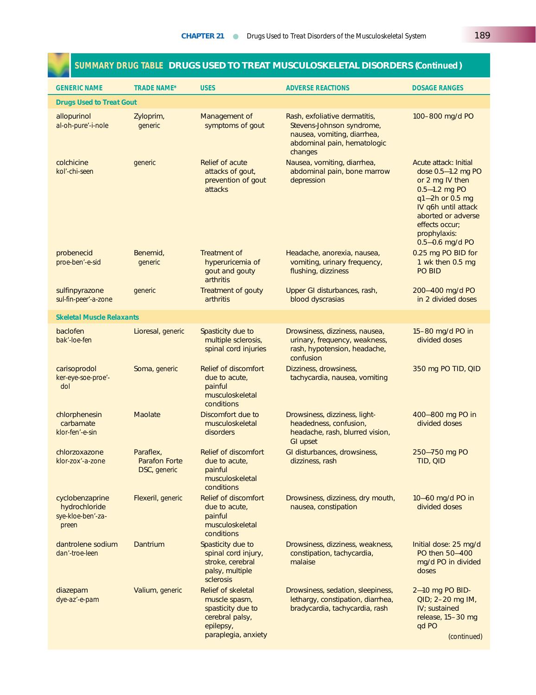# SUMMARY DRUG TABLE DRUGS USED TO TREAT MUSCULOSKELETAL DISORDERS (Continued)

| <b>GENERIC NAME</b>                                            | <b>TRADE NAME*</b>                                | <b>USES</b>                                                                                                            | <b>ADVERSE REACTIONS</b>                                                                                                            | <b>DOSAGE RANGES</b>                                                                                                                                                                                 |  |  |
|----------------------------------------------------------------|---------------------------------------------------|------------------------------------------------------------------------------------------------------------------------|-------------------------------------------------------------------------------------------------------------------------------------|------------------------------------------------------------------------------------------------------------------------------------------------------------------------------------------------------|--|--|
| <b>Drugs Used to Treat Gout</b>                                |                                                   |                                                                                                                        |                                                                                                                                     |                                                                                                                                                                                                      |  |  |
| allopurinol<br>al-oh-pure'-i-nole                              | Zyloprim,<br>generic                              | Management of<br>symptoms of gout                                                                                      | Rash, exfoliative dermatitis,<br>Stevens-Johnson syndrome,<br>nausea, vomiting, diarrhea,<br>abdominal pain, hematologic<br>changes | 100-800 mg/d PO                                                                                                                                                                                      |  |  |
| colchicine<br>kol'-chi-seen                                    | generic                                           | <b>Relief of acute</b><br>attacks of gout,<br>prevention of gout<br>attacks                                            | Nausea, vomiting, diarrhea,<br>abdominal pain, bone marrow<br>depression                                                            | Acute attack: Initial<br>dose 0.5-1.2 mg PO<br>or 2 mg IV then<br>0.5-1.2 mg PO<br>q1-2h or 0.5 mg<br>IV q6h until attack<br>aborted or adverse<br>effects occur;<br>prophylaxis:<br>0.5-0.6 mg/d PO |  |  |
| probenecid<br>proe-ben'-e-sid                                  | Benemid,<br>generic                               | <b>Treatment of</b><br>hyperuricemia of<br>gout and gouty<br>arthritis                                                 | Headache, anorexia, nausea,<br>vomiting, urinary frequency,<br>flushing, dizziness                                                  | 0.25 mg PO BID for<br>1 wk then 0.5 mg<br>PO BID                                                                                                                                                     |  |  |
| sulfinpyrazone<br>sul-fin-peer'-a-zone                         | generic                                           | Treatment of gouty<br>arthritis                                                                                        | Upper GI disturbances, rash,<br>blood dyscrasias                                                                                    | 200-400 mg/d PO<br>in 2 divided doses                                                                                                                                                                |  |  |
| <b>Skeletal Muscle Relaxants</b>                               |                                                   |                                                                                                                        |                                                                                                                                     |                                                                                                                                                                                                      |  |  |
| baclofen<br>bak'-loe-fen                                       | Lioresal, generic                                 | Spasticity due to<br>multiple sclerosis,<br>spinal cord injuries                                                       | Drowsiness, dizziness, nausea,<br>urinary, frequency, weakness,<br>rash, hypotension, headache,<br>confusion                        | 15-80 mg/d PO in<br>divided doses                                                                                                                                                                    |  |  |
| carisoprodol<br>ker-eye-soe-proe'-<br>dol                      | Soma, generic                                     | <b>Relief of discomfort</b><br>due to acute,<br>painful<br>musculoskeletal<br>conditions                               | Dizziness, drowsiness,<br>tachycardia, nausea, vomiting                                                                             | 350 mg PO TID, QID                                                                                                                                                                                   |  |  |
| chlorphenesin<br>carbamate<br>klor-fen'-e-sin                  | <b>Maolate</b>                                    | Discomfort due to<br>musculoskeletal<br>disorders                                                                      | Drowsiness, dizziness, light-<br>headedness, confusion,<br>headache, rash, blurred vision,<br>GI upset                              | 400-800 mg PO in<br>divided doses                                                                                                                                                                    |  |  |
| chlorzoxazone<br>klor-zox'-a-zone                              | Paraflex.<br><b>Parafon Forte</b><br>DSC, generic | <b>Relief of discomfort</b><br>due to acute,<br>painful<br>musculoskeletal<br>conditions                               | GI disturbances, drowsiness,<br>dizziness, rash                                                                                     | 250-750 mg PO<br>TID, QID                                                                                                                                                                            |  |  |
| cyclobenzaprine<br>hydrochloride<br>sye-kloe-ben'-za-<br>preen | Flexeril, generic                                 | <b>Relief of discomfort</b><br>due to acute,<br>painful<br>musculoskeletal<br>conditions                               | Drowsiness, dizziness, dry mouth,<br>nausea, constipation                                                                           | 10-60 mg/d PO in<br>divided doses                                                                                                                                                                    |  |  |
| dantrolene sodium<br>dan'-troe-leen                            | <b>Dantrium</b>                                   | Spasticity due to<br>spinal cord injury,<br>stroke, cerebral<br>palsy, multiple<br>sclerosis                           | Drowsiness, dizziness, weakness,<br>constipation, tachycardia,<br>malaise                                                           | Initial dose: 25 mg/d<br>PO then 50-400<br>mg/d PO in divided<br>doses                                                                                                                               |  |  |
| diazepam<br>dye-az'-e-pam                                      | Valium, generic                                   | <b>Relief of skeletal</b><br>muscle spasm,<br>spasticity due to<br>cerebral palsy,<br>epilepsy,<br>paraplegia, anxiety | Drowsiness, sedation, sleepiness,<br>lethargy, constipation, diarrhea,<br>bradycardia, tachycardia, rash                            | $2-10$ mg PO BID-<br>QID; 2-20 mg IM,<br>IV; sustained<br>release, 15-30 mg<br>qd PO<br>(continued)                                                                                                  |  |  |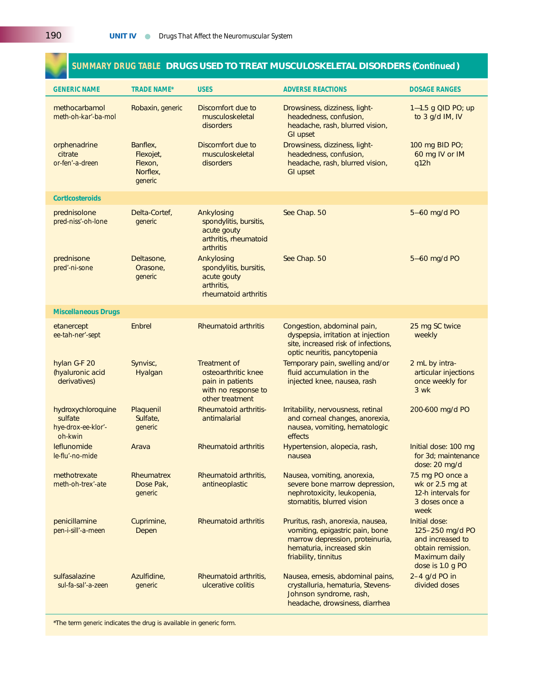# SUMMARY DRUG TABLE DRUGS USED TO TREAT MUSCULOSKELETAL DISORDERS (Continued)

| <b>GENERIC NAME</b>                                            | <b>TRADE NAME*</b>                                      | <b>USES</b>                                                                                       | <b>ADVERSE REACTIONS</b>                                                                                                                                     | <b>DOSAGE RANGES</b>                                                                                           |
|----------------------------------------------------------------|---------------------------------------------------------|---------------------------------------------------------------------------------------------------|--------------------------------------------------------------------------------------------------------------------------------------------------------------|----------------------------------------------------------------------------------------------------------------|
| methocarbamol<br>meth-oh-kar'-ba-mol                           | Robaxin, generic                                        | Discomfort due to<br>musculoskeletal<br>disorders                                                 | Drowsiness, dizziness, light-<br>headedness, confusion,<br>headache, rash, blurred vision,<br>GI upset                                                       | $1-1.5$ g QID PO; up<br>to 3 g/d IM, IV                                                                        |
| orphenadrine<br>citrate<br>or-fen'-a-dreen                     | Banflex,<br>Flexojet,<br>Flexon,<br>Norflex,<br>generic | Discomfort due to<br>musculoskeletal<br>disorders                                                 | Drowsiness, dizziness, light-<br>headedness, confusion,<br>headache, rash, blurred vision,<br>GI upset                                                       | 100 mg BID PO;<br>60 mg IV or IM<br>q12h                                                                       |
| <b>CortIcosteroids</b>                                         |                                                         |                                                                                                   |                                                                                                                                                              |                                                                                                                |
| prednisolone<br>pred-niss'-oh-lone                             | Delta-Cortef,<br>generic                                | Ankylosing<br>spondylitis, bursitis,<br>acute gouty<br>arthritis, rheumatoid<br>arthritis         | See Chap. 50                                                                                                                                                 | 5-60 mg/d PO                                                                                                   |
| prednisone<br>pred'-ni-sone                                    | Deltasone,<br>Orasone,<br>generic                       | Ankylosing<br>spondylitis, bursitis,<br>acute gouty<br>arthritis,<br>rheumatoid arthritis         | See Chap. 50                                                                                                                                                 | 5-60 mg/d PO                                                                                                   |
| <b>Miscellaneous Drugs</b>                                     |                                                         |                                                                                                   |                                                                                                                                                              |                                                                                                                |
| etanercept<br>ee-tah-ner'-sept                                 | <b>Enbrel</b>                                           | <b>Rheumatoid arthritis</b>                                                                       | Congestion, abdominal pain,<br>dyspepsia, irritation at injection<br>site, increased risk of infections,<br>optic neuritis, pancytopenia                     | 25 mg SC twice<br>weekly                                                                                       |
| hylan G-F 20<br>(hyaluronic acid<br>derivatives)               | Synvisc,<br>Hyalgan                                     | Treatment of<br>osteoarthritic knee<br>pain in patients<br>with no response to<br>other treatment | Temporary pain, swelling and/or<br>fluid accumulation in the<br>injected knee, nausea, rash                                                                  | 2 mL by intra-<br>articular injections<br>once weekly for<br>3 wk                                              |
| hydroxychloroquine<br>sulfate<br>hye-drox-ee-klor'-<br>oh-kwin | Plaquenil<br>Sulfate,<br>generic                        | <b>Rheumatoid arthritis-</b><br>antimalarial                                                      | Irritability, nervousness, retinal<br>and corneal changes, anorexia,<br>nausea, vomiting, hematologic<br>effects                                             | 200-600 mg/d PO                                                                                                |
| leflunomide<br>le-flu'-no-mide                                 | Arava                                                   | Rheumatoid arthritis                                                                              | Hypertension, alopecia, rash,<br>nausea                                                                                                                      | Initial dose: 100 mg<br>for 3d; maintenance<br>dose: 20 mg/d                                                   |
| methotrexate<br>meth-oh-trex'-ate                              | Rheumatrex<br>Dose Pak,<br>generic                      | Rheumatoid arthritis.<br>antineoplastic                                                           | Nausea, vomiting, anorexia,<br>severe bone marrow depression,<br>nephrotoxicity, leukopenia,<br>stomatitis, blurred vision                                   | 7.5 mg PO once a<br>wk or 2.5 mg at<br>12-h intervals for<br>3 doses once a<br>week                            |
| penicillamine<br>pen-i-sill'-a-meen                            | Cuprimine,<br>Depen                                     | Rheumatoid arthritis                                                                              | Pruritus, rash, anorexia, nausea,<br>vomiting, epigastric pain, bone<br>marrow depression, proteinuria,<br>hematuria, increased skin<br>friability, tinnitus | Initial dose:<br>125-250 mg/d PO<br>and increased to<br>obtain remission.<br>Maximum daily<br>dose is 1.0 g PO |
| sulfasalazine<br>sul-fa-sal'-a-zeen                            | Azulfidine.<br>generic                                  | Rheumatoid arthritis,<br>ulcerative colitis                                                       | Nausea, emesis, abdominal pains,<br>crystalluria, hematuria, Stevens-<br>Johnson syndrome, rash,<br>headache, drowsiness, diarrhea                           | $2-4$ g/d PO in<br>divided doses                                                                               |

\*The term generic indicates the drug is available in generic form.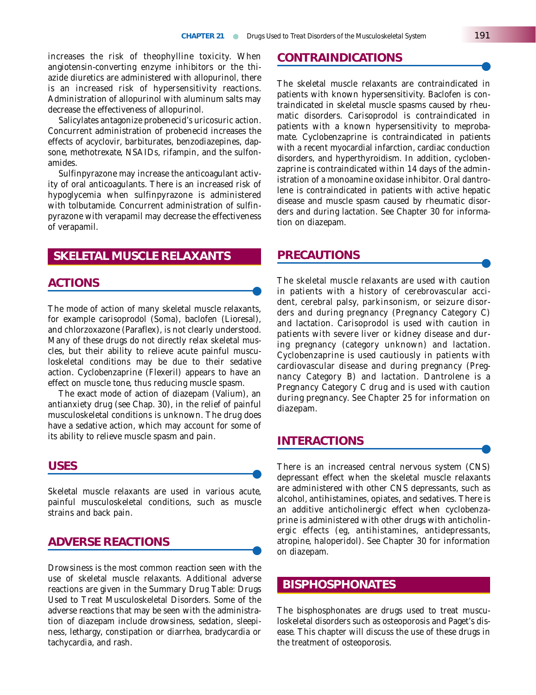increases the risk of theophylline toxicity. When angiotensin-converting enzyme inhibitors or the thiazide diuretics are administered with allopurinol, there is an increased risk of hypersensitivity reactions. Administration of allopurinol with aluminum salts may decrease the effectiveness of allopurinol.

Salicylates antagonize probenecid's uricosuric action. Concurrent administration of probenecid increases the effects of acyclovir, barbiturates, benzodiazepines, dapsone, methotrexate, NSAIDs, rifampin, and the sulfonamides.

Sulfinpyrazone may increase the anticoagulant activity of oral anticoagulants. There is an increased risk of hypoglycemia when sulfinpyrazone is administered with tolbutamide. Concurrent administration of sulfinpyrazone with verapamil may decrease the effectiveness of verapamil.

# **SKELETAL MUSCLE RELAXANTS**

## **ACTIONS** ●

The mode of action of many skeletal muscle relaxants, for example carisoprodol (Soma), baclofen (Lioresal), and chlorzoxazone (Paraflex), is not clearly understood. Many of these drugs do not directly relax skeletal muscles, but their ability to relieve acute painful musculoskeletal conditions may be due to their sedative action. Cyclobenzaprine (Flexeril) appears to have an effect on muscle tone, thus reducing muscle spasm.

The exact mode of action of diazepam (Valium), an antianxiety drug (see Chap. 30), in the relief of painful musculoskeletal conditions is unknown. The drug does have a sedative action, which may account for some of its ability to relieve muscle spasm and pain.

# —————————————<del>————</del>

Skeletal muscle relaxants are used in various acute, painful musculoskeletal conditions, such as muscle strains and back pain.

# **ADVERSE REACTIONS** ●

Drowsiness is the most common reaction seen with the use of skeletal muscle relaxants. Additional adverse reactions are given in the Summary Drug Table: Drugs Used to Treat Musculoskeletal Disorders. Some of the adverse reactions that may be seen with the administration of diazepam include drowsiness, sedation, sleepiness, lethargy, constipation or diarrhea, bradycardia or tachycardia, and rash.

### **CONTRAINDICATIONS** ●

The skeletal muscle relaxants are contraindicated in patients with known hypersensitivity. Baclofen is contraindicated in skeletal muscle spasms caused by rheumatic disorders. Carisoprodol is contraindicated in patients with a known hypersensitivity to meprobamate. Cyclobenzaprine is contraindicated in patients with a recent myocardial infarction, cardiac conduction disorders, and hyperthyroidism. In addition, cyclobenzaprine is contraindicated within 14 days of the administration of a monoamine oxidase inhibitor. Oral dantrolene is contraindicated in patients with active hepatic disease and muscle spasm caused by rheumatic disorders and during lactation. See Chapter 30 for information on diazepam.

### **PRECAUTIONS**

The skeletal muscle relaxants are used with caution in patients with a history of cerebrovascular accident, cerebral palsy, parkinsonism, or seizure disorders and during pregnancy (Pregnancy Category C) and lactation. Carisoprodol is used with caution in patients with severe liver or kidney disease and during pregnancy (category unknown) and lactation. Cyclobenzaprine is used cautiously in patients with cardiovascular disease and during pregnancy (Pregnancy Category B) and lactation. Dantrolene is a Pregnancy Category C drug and is used with caution during pregnancy. See Chapter 25 for information on diazepam.

# **INTERACTIONS**

There is an increased central nervous system (CNS) depressant effect when the skeletal muscle relaxants are administered with other CNS depressants, such as alcohol, antihistamines, opiates, and sedatives. There is an additive anticholinergic effect when cyclobenzaprine is administered with other drugs with anticholinergic effects (eg, antihistamines, antidepressants, atropine, haloperidol). See Chapter 30 for information on diazepam.

# **BISPHOSPHONATES**

The bisphosphonates are drugs used to treat musculoskeletal disorders such as osteoporosis and Paget's disease. This chapter will discuss the use of these drugs in the treatment of osteoporosis.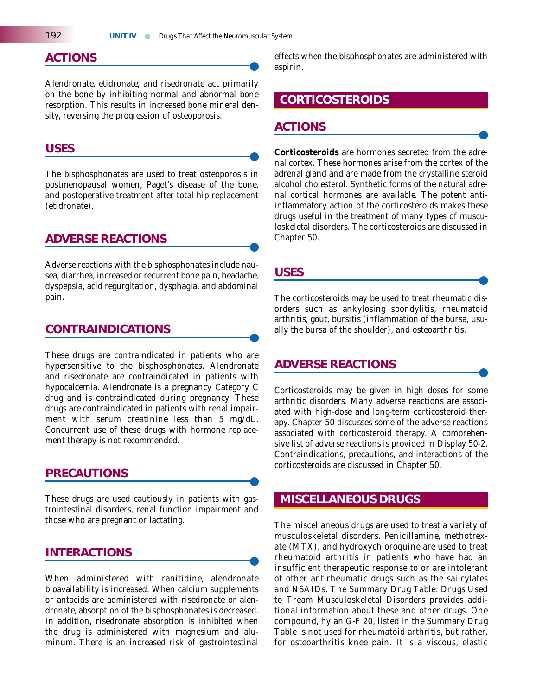# **ACTIONS** ●

Alendronate, etidronate, and risedronate act primarily on the bone by inhibiting normal and abnormal bone resorption. This results in increased bone mineral density, reversing the progression of osteoporosis.

# **USES** ●

The bisphosphonates are used to treat osteoporosis in postmenopausal women, Paget's disease of the bone, and postoperative treatment after total hip replacement (etidronate).

# **ADVERSE REACTIONS** ●

Adverse reactions with the bisphosphonates include nausea, diarrhea, increased or recurrent bone pain, headache, dyspepsia, acid regurgitation, dysphagia, and abdominal pain.

# **CONTRAINDICATIONS** ●

These drugs are contraindicated in patients who are hypersensitive to the bisphosphonates. Alendronate and risedronate are contraindicated in patients with hypocalcemia. Alendronate is a pregnancy Category C drug and is contraindicated during pregnancy. These drugs are contraindicated in patients with renal impairment with serum creatinine less than 5 mg/dL. Concurrent use of these drugs with hormone replacement therapy is not recommended.

### **PRECAUTIONS**

These drugs are used cautiously in patients with gastrointestinal disorders, renal function impairment and those who are pregnant or lactating.

# **INTERACTIONS**

When administered with ranitidine, alendronate bioavailability is increased. When calcium supplements or antacids are administered with risedronate or alendronate, absorption of the bisphosphonates is decreased. In addition, risedronate absorption is inhibited when the drug is administered with magnesium and aluminum. There is an increased risk of gastrointestinal effects when the bisphosphonates are administered with aspirin.

# **CORTICOSTEROIDS**

#### **ACTIONS** ●

**Corticosteroids** are hormones secreted from the adrenal cortex. These hormones arise from the cortex of the adrenal gland and are made from the crystalline steroid alcohol cholesterol. Synthetic forms of the natural adrenal cortical hormones are available. The potent antiinflammatory action of the corticosteroids makes these drugs useful in the treatment of many types of musculoskeletal disorders. The corticosteroids are discussed in Chapter 50.

# **USES** ●

The corticosteroids may be used to treat rheumatic disorders such as ankylosing spondylitis, rheumatoid arthritis, gout, bursitis (inflammation of the bursa, usually the bursa of the shoulder), and osteoarthritis.

### **ADVERSE REACTIONS** ●

Corticosteroids may be given in high doses for some arthritic disorders. Many adverse reactions are associated with high-dose and long-term corticosteroid therapy. Chapter 50 discusses some of the adverse reactions associated with corticosteroid therapy. A comprehensive list of adverse reactions is provided in Display 50-2. Contraindications, precautions, and interactions of the corticosteroids are discussed in Chapter 50.

# **MISCELLANEOUS DRUGS**

The miscellaneous drugs are used to treat a variety of musculoskeletal disorders. Penicillamine, methotrexate (MTX), and hydroxychloroquine are used to treat rheumatoid arthritis in patients who have had an insufficient therapeutic response to or are intolerant of other antirheumatic drugs such as the sailcylates and NSAIDs. The Summary Drug Table: Drugs Used to Tream Musculoskeletal Disorders provides additional information about these and other drugs. One compound, hylan G-F 20, listed in the Summary Drug Table is not used for rheumatoid arthritis, but rather, for osteoarthritis knee pain. It is a viscous, elastic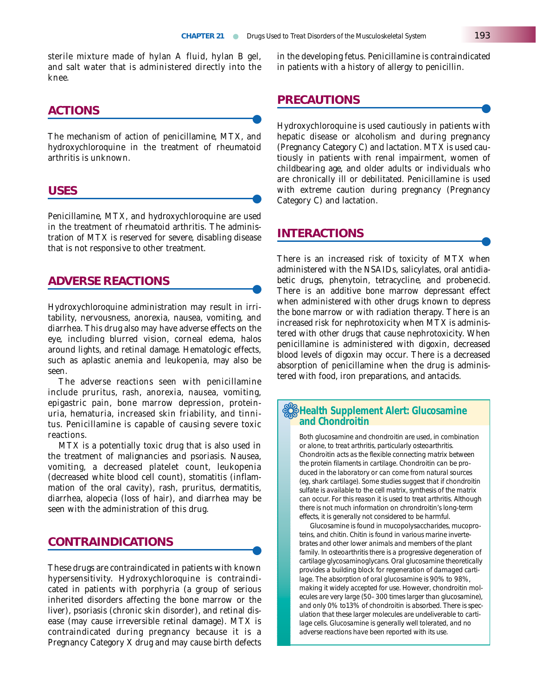sterile mixture made of hylan A fluid, hylan B gel, and salt water that is administered directly into the knee.

### **ACTIONS** ●

The mechanism of action of penicillamine, MTX, and hydroxychloroquine in the treatment of rheumatoid arthritis is unknown.

# **USES** ●

Penicillamine, MTX, and hydroxychloroquine are used in the treatment of rheumatoid arthritis. The administration of MTX is reserved for severe, disabling disease that is not responsive to other treatment.

# **ADVERSE REACTIONS** ●

Hydroxychloroquine administration may result in irritability, nervousness, anorexia, nausea, vomiting, and diarrhea. This drug also may have adverse effects on the eye, including blurred vision, corneal edema, halos around lights, and retinal damage. Hematologic effects, such as aplastic anemia and leukopenia, may also be seen.

The adverse reactions seen with penicillamine include pruritus, rash, anorexia, nausea, vomiting, epigastric pain, bone marrow depression, proteinuria, hematuria, increased skin friability, and tinnitus. Penicillamine is capable of causing severe toxic reactions.

MTX is a potentially toxic drug that is also used in the treatment of malignancies and psoriasis. Nausea, vomiting, a decreased platelet count, leukopenia (decreased white blood cell count), stomatitis (inflammation of the oral cavity), rash, pruritus, dermatitis, diarrhea, alopecia (loss of hair), and diarrhea may be seen with the administration of this drug.

# **CONTRAINDICATIONS** ●

These drugs are contraindicated in patients with known hypersensitivity. Hydroxychloroquine is contraindicated in patients with porphyria (a group of serious inherited disorders affecting the bone marrow or the liver), psoriasis (chronic skin disorder), and retinal disease (may cause irreversible retinal damage). MTX is contraindicated during pregnancy because it is a Pregnancy Category X drug and may cause birth defects

in the developing fetus. Penicillamine is contraindicated in patients with a history of allergy to penicillin.

#### **PRECAUTIONS**

Hydroxychloroquine is used cautiously in patients with hepatic disease or alcoholism and during pregnancy (Pregnancy Category C) and lactation. MTX is used cautiously in patients with renal impairment, women of childbearing age, and older adults or individuals who are chronically ill or debilitated. Penicillamine is used with extreme caution during pregnancy (Pregnancy Category C) and lactation.

#### **INTERACTIONS**

There is an increased risk of toxicity of MTX when administered with the NSAIDs, salicylates, oral antidiabetic drugs, phenytoin, tetracycline, and probenecid. There is an additive bone marrow depressant effect when administered with other drugs known to depress the bone marrow or with radiation therapy. There is an increased risk for nephrotoxicity when MTX is administered with other drugs that cause nephrotoxicity. When penicillamine is administered with digoxin, decreased blood levels of digoxin may occur. There is a decreased absorption of penicillamine when the drug is administered with food, iron preparations, and antacids.

#### ❁**Health Supplement Alert: Glucosamine and Chondroitin**

*Both glucosamine and chondroitin are used, in combination or alone, to treat arthritis, particularly osteoarthritis. Chondroitin acts as the flexible connecting matrix between the protein filaments in cartilage. Chondroitin can be produced in the laboratory or can come from natural sources (eg, shark cartilage). Some studies suggest that if chondroitin sulfate is available to the cell matrix, synthesis of the matrix can occur. For this reason it is used to treat arthritis. Although there is not much information on chrondroitin's long-term effects, it is generally not considered to be harmful.* 

*Glucosamine is found in mucopolysaccharides, mucoproteins, and chitin. Chitin is found in various marine invertebrates and other lower animals and members of the plant family. In osteoarthritis there is a progressive degeneration of cartilage glycosaminoglycans. Oral glucosamine theoretically provides a building block for regeneration of damaged cartilage. The absorption of oral glucosamine is 90% to 98%, making it widely accepted for use. However, chondroitin molecules are very large (50–300 times larger than glucosamine), and only 0% to13% of chondroitin is absorbed. There is speculation that these larger molecules are undeliverable to cartilage cells. Glucosamine is generally well tolerated, and no adverse reactions have been reported with its use.*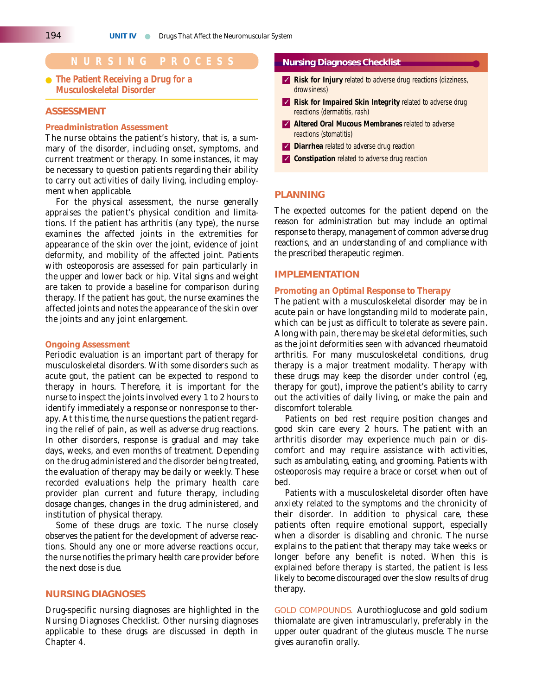● **The Patient Receiving a Drug for a Musculoskeletal Disorder**

#### **ASSESSMENT**

#### *Preadministration Assessment*

The nurse obtains the patient's history, that is, a summary of the disorder, including onset, symptoms, and current treatment or therapy. In some instances, it may be necessary to question patients regarding their ability to carry out activities of daily living, including employment when applicable.

For the physical assessment, the nurse generally appraises the patient's physical condition and limitations. If the patient has arthritis (any type), the nurse examines the affected joints in the extremities for appearance of the skin over the joint, evidence of joint deformity, and mobility of the affected joint. Patients with osteoporosis are assessed for pain particularly in the upper and lower back or hip. Vital signs and weight are taken to provide a baseline for comparison during therapy. If the patient has gout, the nurse examines the affected joints and notes the appearance of the skin over the joints and any joint enlargement.

#### *Ongoing Assessment*

Periodic evaluation is an important part of therapy for musculoskeletal disorders. With some disorders such as acute gout, the patient can be expected to respond to therapy in hours. Therefore, it is important for the nurse to inspect the joints involved every 1 to 2 hours to identify immediately a response or nonresponse to therapy. At this time, the nurse questions the patient regarding the relief of pain, as well as adverse drug reactions. In other disorders, response is gradual and may take days, weeks, and even months of treatment. Depending on the drug administered and the disorder being treated, the evaluation of therapy may be daily or weekly. These recorded evaluations help the primary health care provider plan current and future therapy, including dosage changes, changes in the drug administered, and institution of physical therapy.

Some of these drugs are toxic. The nurse closely observes the patient for the development of adverse reactions. Should any one or more adverse reactions occur, the nurse notifies the primary health care provider before the next dose is due.

#### **NURSING DIAGNOSES**

Drug-specific nursing diagnoses are highlighted in the Nursing Diagnoses Checklist. Other nursing diagnoses applicable to these drugs are discussed in depth in Chapter 4.

#### **Nursing Diagnoses Checklist**

- ✓ **Risk for Injury** related to adverse drug reactions (dizziness, drowsiness)
- ✓ **Risk for Impaired Skin Integrity** related to adverse drug reactions (dermatitis, rash)
- ✓ **Altered Oral Mucous Membranes** related to adverse reactions (stomatitis)
- ✓ **Diarrhea** related to adverse drug reaction
- **✓ Constipation** related to adverse drug reaction

#### **PLANNING**

The expected outcomes for the patient depend on the reason for administration but may include an optimal response to therapy, management of common adverse drug reactions, and an understanding of and compliance with the prescribed therapeutic regimen.

#### **IMPLEMENTATION**

#### *Promoting an Optimal Response to Therapy*

The patient with a musculoskeletal disorder may be in acute pain or have longstanding mild to moderate pain, which can be just as difficult to tolerate as severe pain. Along with pain, there may be skeletal deformities, such as the joint deformities seen with advanced rheumatoid arthritis. For many musculoskeletal conditions, drug therapy is a major treatment modality. Therapy with these drugs may keep the disorder under control (eg, therapy for gout), improve the patient's ability to carry out the activities of daily living, or make the pain and discomfort tolerable.

Patients on bed rest require position changes and good skin care every 2 hours. The patient with an arthritis disorder may experience much pain or discomfort and may require assistance with activities, such as ambulating, eating, and grooming. Patients with osteoporosis may require a brace or corset when out of bed.

Patients with a musculoskeletal disorder often have anxiety related to the symptoms and the chronicity of their disorder. In addition to physical care, these patients often require emotional support, especially when a disorder is disabling and chronic. The nurse explains to the patient that therapy may take weeks or longer before any benefit is noted. When this is explained before therapy is started, the patient is less likely to become discouraged over the slow results of drug therapy.

GOLD COMPOUNDS. Aurothioglucose and gold sodium thiomalate are given intramuscularly, preferably in the upper outer quadrant of the gluteus muscle. The nurse gives auranofin orally.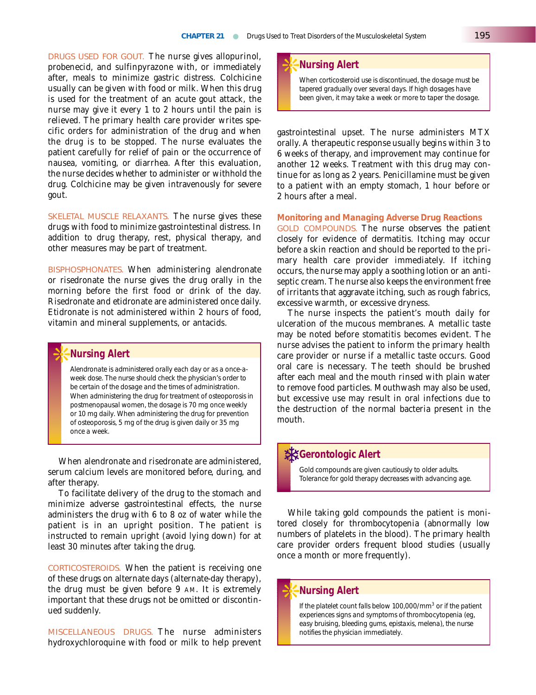DRUGS USED FOR GOUT. The nurse gives allopurinol, probenecid, and sulfinpyrazone with, or immediately after, meals to minimize gastric distress. Colchicine usually can be given with food or milk. When this drug is used for the treatment of an acute gout attack, the nurse may give it every 1 to 2 hours until the pain is relieved. The primary health care provider writes specific orders for administration of the drug and when the drug is to be stopped. The nurse evaluates the patient carefully for relief of pain or the occurrence of nausea, vomiting, or diarrhea. After this evaluation, the nurse decides whether to administer or withhold the drug. Colchicine may be given intravenously for severe gout.

SKELETAL MUSCLE RELAXANTS. The nurse gives these drugs with food to minimize gastrointestinal distress. In addition to drug therapy, rest, physical therapy, and other measures may be part of treatment.

BISPHOSPHONATES. When administering alendronate or risedronate the nurse gives the drug orally in the morning before the first food or drink of the day. Risedronate and etidronate are administered once daily. Etidronate is not administered within 2 hours of food, vitamin and mineral supplements, or antacids.

#### ❊**Nursing Alert**

*Alendronate is administered orally each day or as a once-aweek dose. The nurse should check the physician's order to be certain of the dosage and the times of administration. When administering the drug for treatment of osteoporosis in postmenopausal women, the dosage is 70 mg once weekly or 10 mg daily. When administering the drug for prevention of osteoporosis, 5 mg of the drug is given daily or 35 mg once a week.*

When alendronate and risedronate are administered, serum calcium levels are monitored before, during, and after therapy.

To facilitate delivery of the drug to the stomach and minimize adverse gastrointestinal effects, the nurse administers the drug with 6 to 8 oz of water while the patient is in an upright position. The patient is instructed to remain upright (avoid lying down) for at least 30 minutes after taking the drug.

CORTICOSTEROIDS. When the patient is receiving one of these drugs on alternate days (alternate-day therapy), the drug must be given before 9 AM. It is extremely important that these drugs not be omitted or discontinued suddenly.

MISCELLANEOUS DRUGS. The nurse administers hydroxychloroquine with food or milk to help prevent

#### ❊**Nursing Alert**

*When corticosteroid use is discontinued, the dosage must be tapered gradually over several days. If high dosages have been given, it may take a week or more to taper the dosage.*

gastrointestinal upset. The nurse administers MTX orally. A therapeutic response usually begins within 3 to 6 weeks of therapy, and improvement may continue for another 12 weeks. Treatment with this drug may continue for as long as 2 years. Penicillamine must be given to a patient with an empty stomach, 1 hour before or 2 hours after a meal.

#### *Monitoring and Managing Adverse Drug Reactions*

GOLD COMPOUNDS. The nurse observes the patient closely for evidence of dermatitis. Itching may occur before a skin reaction and should be reported to the primary health care provider immediately. If itching occurs, the nurse may apply a soothing lotion or an antiseptic cream. The nurse also keeps the environment free of irritants that aggravate itching, such as rough fabrics, excessive warmth, or excessive dryness.

The nurse inspects the patient's mouth daily for ulceration of the mucous membranes. A metallic taste may be noted before stomatitis becomes evident. The nurse advises the patient to inform the primary health care provider or nurse if a metallic taste occurs. Good oral care is necessary. The teeth should be brushed after each meal and the mouth rinsed with plain water to remove food particles. Mouthwash may also be used, but excessive use may result in oral infections due to the destruction of the normal bacteria present in the mouth.

#### ❄**Gerontologic Alert**

*Gold compounds are given cautiously to older adults. Tolerance for gold therapy decreases with advancing age.*

While taking gold compounds the patient is monitored closely for thrombocytopenia (abnormally low numbers of platelets in the blood). The primary health care provider orders frequent blood studies (usually once a month or more frequently).

#### ❊**Nursing Alert**

*If the platelet count falls below 100,000/mm<sup>3</sup> or if the patient experiences signs and symptoms of thrombocytopenia (eg, easy bruising, bleeding gums, epistaxis, melena), the nurse notifies the physician immediately.*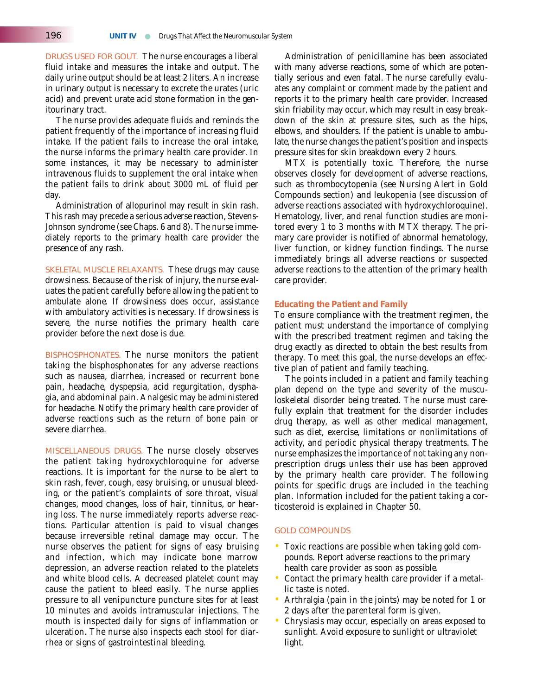DRUGS USED FOR GOUT. The nurse encourages a liberal fluid intake and measures the intake and output. The daily urine output should be at least 2 liters. An increase in urinary output is necessary to excrete the urates (uric acid) and prevent urate acid stone formation in the genitourinary tract.

The nurse provides adequate fluids and reminds the patient frequently of the importance of increasing fluid intake. If the patient fails to increase the oral intake, the nurse informs the primary health care provider. In some instances, it may be necessary to administer intravenous fluids to supplement the oral intake when the patient fails to drink about 3000 mL of fluid per day.

Administration of allopurinol may result in skin rash. This rash may precede a serious adverse reaction, Stevens-Johnson syndrome (see Chaps. 6 and 8). The nurse immediately reports to the primary health care provider the presence of any rash.

SKELETAL MUSCLE RELAXANTS. These drugs may cause drowsiness. Because of the risk of injury, the nurse evaluates the patient carefully before allowing the patient to ambulate alone. If drowsiness does occur, assistance with ambulatory activities is necessary. If drowsiness is severe, the nurse notifies the primary health care provider before the next dose is due.

BISPHOSPHONATES. The nurse monitors the patient taking the bisphosphonates for any adverse reactions such as nausea, diarrhea, increased or recurrent bone pain, headache, dyspepsia, acid regurgitation, dysphagia, and abdominal pain. Analgesic may be administered for headache. Notify the primary health care provider of adverse reactions such as the return of bone pain or severe diarrhea.

MISCELLANEOUS DRUGS. The nurse closely observes the patient taking hydroxychloroquine for adverse reactions. It is important for the nurse to be alert to skin rash, fever, cough, easy bruising, or unusual bleeding, or the patient's complaints of sore throat, visual changes, mood changes, loss of hair, tinnitus, or hearing loss. The nurse immediately reports adverse reactions. Particular attention is paid to visual changes because irreversible retinal damage may occur. The nurse observes the patient for signs of easy bruising and infection, which may indicate bone marrow depression, an adverse reaction related to the platelets and white blood cells. A decreased platelet count may cause the patient to bleed easily. The nurse applies pressure to all venipuncture puncture sites for at least 10 minutes and avoids intramuscular injections. The mouth is inspected daily for signs of inflammation or ulceration. The nurse also inspects each stool for diarrhea or signs of gastrointestinal bleeding.

Administration of penicillamine has been associated with many adverse reactions, some of which are potentially serious and even fatal. The nurse carefully evaluates any complaint or comment made by the patient and reports it to the primary health care provider. Increased skin friability may occur, which may result in easy breakdown of the skin at pressure sites, such as the hips, elbows, and shoulders. If the patient is unable to ambulate, the nurse changes the patient's position and inspects pressure sites for skin breakdown every 2 hours.

MTX is potentially toxic. Therefore, the nurse observes closely for development of adverse reactions, such as thrombocytopenia (see Nursing Alert in Gold Compounds section) and leukopenia (see discussion of adverse reactions associated with hydroxychloroquine). Hematology, liver, and renal function studies are monitored every 1 to 3 months with MTX therapy. The primary care provider is notified of abnormal hematology, liver function, or kidney function findings. The nurse immediately brings all adverse reactions or suspected adverse reactions to the attention of the primary health care provider.

#### *Educating the Patient and Family*

To ensure compliance with the treatment regimen, the patient must understand the importance of complying with the prescribed treatment regimen and taking the drug exactly as directed to obtain the best results from therapy. To meet this goal, the nurse develops an effective plan of patient and family teaching.

The points included in a patient and family teaching plan depend on the type and severity of the musculoskeletal disorder being treated. The nurse must carefully explain that treatment for the disorder includes drug therapy, as well as other medical management, such as diet, exercise, limitations or nonlimitations of activity, and periodic physical therapy treatments. The nurse emphasizes the importance of not taking any nonprescription drugs unless their use has been approved by the primary health care provider. The following points for specific drugs are included in the teaching plan. Information included for the patient taking a corticosteroid is explained in Chapter 50.

#### GOLD COMPOUNDS

- Toxic reactions are possible when taking gold compounds. Report adverse reactions to the primary health care provider as soon as possible.
- Contact the primary health care provider if a metallic taste is noted.
- Arthralgia (pain in the joints) may be noted for 1 or 2 days after the parenteral form is given.
- Chrysiasis may occur, especially on areas exposed to sunlight. Avoid exposure to sunlight or ultraviolet light.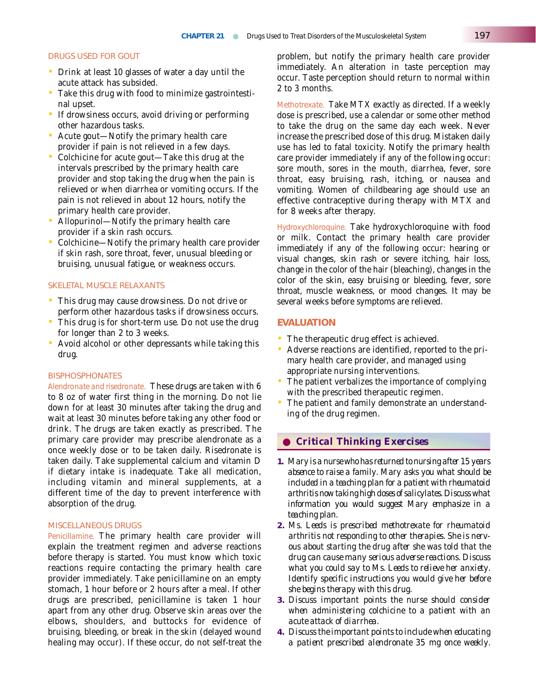#### DRUGS USED FOR GOUT

- Drink at least 10 glasses of water a day until the acute attack has subsided.
- Take this drug with food to minimize gastrointestinal upset.
- If drowsiness occurs, avoid driving or performing other hazardous tasks.
- Acute gout—Notify the primary health care provider if pain is not relieved in a few days.
- Colchicine for acute gout—Take this drug at the intervals prescribed by the primary health care provider and stop taking the drug when the pain is relieved or when diarrhea or vomiting occurs. If the pain is not relieved in about 12 hours, notify the primary health care provider.
- Allopurinol—Notify the primary health care provider if a skin rash occurs.
- Colchicine—Notify the primary health care provider if skin rash, sore throat, fever, unusual bleeding or bruising, unusual fatigue, or weakness occurs.

#### SKELETAL MUSCLE RELAXANTS

- This drug may cause drowsiness. Do not drive or perform other hazardous tasks if drowsiness occurs.
- This drug is for short-term use. Do not use the drug for longer than 2 to 3 weeks.
- Avoid alcohol or other depressants while taking this drug.

#### **BISPHOSPHONATES**

*Alendronate and risedronate.* These drugs are taken with 6 to 8 oz of water first thing in the morning. Do not lie down for at least 30 minutes after taking the drug and wait at least 30 minutes before taking any other food or drink. The drugs are taken exactly as prescribed. The primary care provider may prescribe alendronate as a once weekly dose or to be taken daily. Risedronate is taken daily. Take supplemental calcium and vitamin D if dietary intake is inadequate. Take all medication, including vitamin and mineral supplements, at a different time of the day to prevent interference with absorption of the drug.

#### MISCELLANEOUS DRUGS

*Penicillamine.* The primary health care provider will explain the treatment regimen and adverse reactions before therapy is started. You must know which toxic reactions require contacting the primary health care provider immediately. Take penicillamine on an empty stomach, 1 hour before or 2 hours after a meal. If other drugs are prescribed, penicillamine is taken 1 hour apart from any other drug. Observe skin areas over the elbows, shoulders, and buttocks for evidence of bruising, bleeding, or break in the skin (delayed wound healing may occur). If these occur, do not self-treat the problem, but notify the primary health care provider immediately. An alteration in taste perception may occur. Taste perception should return to normal within 2 to 3 months.

*Methotrexate.* Take MTX exactly as directed. If a weekly dose is prescribed, use a calendar or some other method to take the drug on the same day each week. Never increase the prescribed dose of this drug. Mistaken daily use has led to fatal toxicity. Notify the primary health care provider immediately if any of the following occur: sore mouth, sores in the mouth, diarrhea, fever, sore throat, easy bruising, rash, itching, or nausea and vomiting. Women of childbearing age should use an effective contraceptive during therapy with MTX and for 8 weeks after therapy.

*Hydroxychloroquine.* Take hydroxychloroquine with food or milk. Contact the primary health care provider immediately if any of the following occur: hearing or visual changes, skin rash or severe itching, hair loss, change in the color of the hair (bleaching), changes in the color of the skin, easy bruising or bleeding, fever, sore throat, muscle weakness, or mood changes. It may be several weeks before symptoms are relieved.

#### **EVALUATION**

- The therapeutic drug effect is achieved.
- Adverse reactions are identified, reported to the primary health care provider, and managed using appropriate nursing interventions.
- The patient verbalizes the importance of complying with the prescribed therapeutic regimen.
- The patient and family demonstrate an understanding of the drug regimen.

#### ● *Critical Thinking Exercises*

- **1.** *Mary is a nurse who has returned to nursing after 15 years absence to raise a family. Mary asks you what should be included in a teaching plan for a patient with rheumatoid arthritis now taking high doses of salicylates. Discuss what information you would suggest Mary emphasize in a teaching plan.*
- **2.** *Ms. Leeds is prescribed methotrexate for rheumatoid arthritis not responding to other therapies. She is nervous about starting the drug after she was told that the drug can cause many serious adverse reactions. Discuss what you could say to Ms. Leeds to relieve her anxiety. Identify specific instructions you would give her before she begins therapy with this drug.*
- **3.** *Discuss important points the nurse should consider when administering colchicine to a patient with an acute attack of diarrhea.*
- **4.** *Discuss the important points to include when educating a patient prescribed alendronate 35 mg once weekly.*